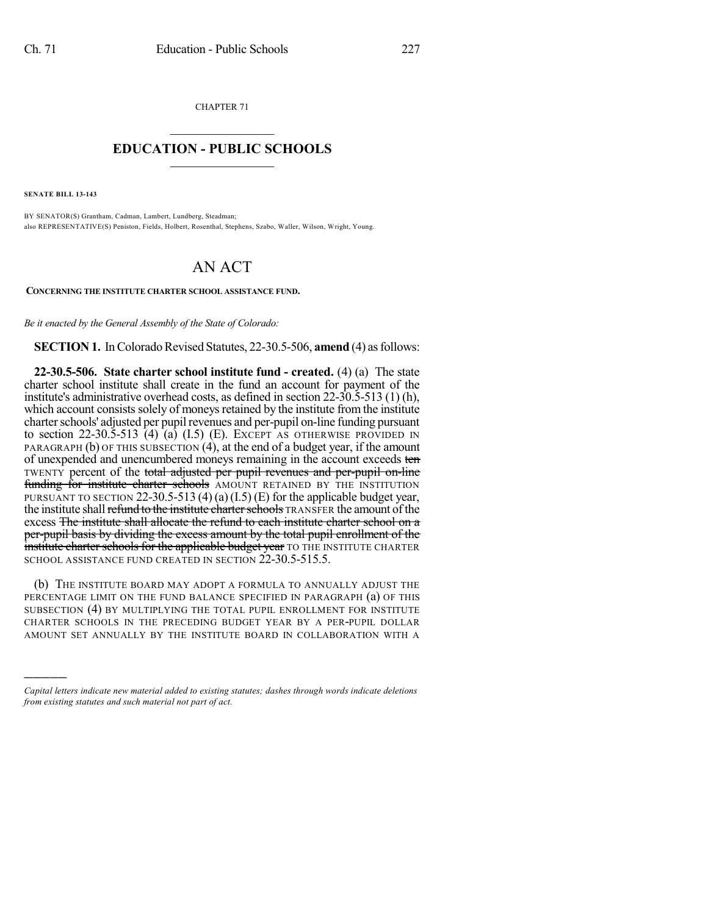CHAPTER 71  $\mathcal{L}_\text{max}$  . The set of the set of the set of the set of the set of the set of the set of the set of the set of the set of the set of the set of the set of the set of the set of the set of the set of the set of the set

## **EDUCATION - PUBLIC SCHOOLS**  $\_$   $\_$   $\_$   $\_$   $\_$   $\_$   $\_$   $\_$   $\_$

**SENATE BILL 13-143**

)))))

BY SENATOR(S) Grantham, Cadman, Lambert, Lundberg, Steadman; also REPRESENTATIVE(S) Peniston, Fields, Holbert, Rosenthal, Stephens, Szabo, Waller, Wilson, Wright, Young.

## AN ACT

**CONCERNING THE INSTITUTE CHARTER SCHOOL ASSISTANCE FUND.**

*Be it enacted by the General Assembly of the State of Colorado:*

**SECTION 1.** In Colorado Revised Statutes, 22-30.5-506, **amend** (4) as follows:

**22-30.5-506. State charter school institute fund - created.** (4) (a) The state charter school institute shall create in the fund an account for payment of the institute's administrative overhead costs, as defined in section 22-30.5-513 (1) (h), which account consists solely of moneys retained by the institute from the institute charter schools' adjusted per pupil revenues and per-pupil on-line funding pursuant to section 22-30.5-513  $\vec{a}$ )  $\vec{a}$ )  $\vec{b}$  (I.5) (E). EXCEPT AS OTHERWISE PROVIDED IN PARAGRAPH (b) OF THIS SUBSECTION (4), at the end of a budget year, if the amount of unexpended and unencumbered moneys remaining in the account exceeds ten TWENTY percent of the total adjusted per pupil revenues and per-pupil on-line funding for institute charter schools AMOUNT RETAINED BY THE INSTITUTION PURSUANT TO SECTION 22-30.5-513 (4) (a)  $(I.5)$  (E) for the applicable budget year, the institute shall refund to the institute charter schools TRANSFER the amount of the excess The institute shall allocate the refund to each institute charter school on a per-pupil basis by dividing the excess amount by the total pupil enrollment of the institute charter schools for the applicable budget year TO THE INSTITUTE CHARTER SCHOOL ASSISTANCE FUND CREATED IN SECTION 22-30.5-515.5.

(b) THE INSTITUTE BOARD MAY ADOPT A FORMULA TO ANNUALLY ADJUST THE PERCENTAGE LIMIT ON THE FUND BALANCE SPECIFIED IN PARAGRAPH (a) OF THIS SUBSECTION (4) BY MULTIPLYING THE TOTAL PUPIL ENROLLMENT FOR INSTITUTE CHARTER SCHOOLS IN THE PRECEDING BUDGET YEAR BY A PER-PUPIL DOLLAR AMOUNT SET ANNUALLY BY THE INSTITUTE BOARD IN COLLABORATION WITH A

*Capital letters indicate new material added to existing statutes; dashes through words indicate deletions from existing statutes and such material not part of act.*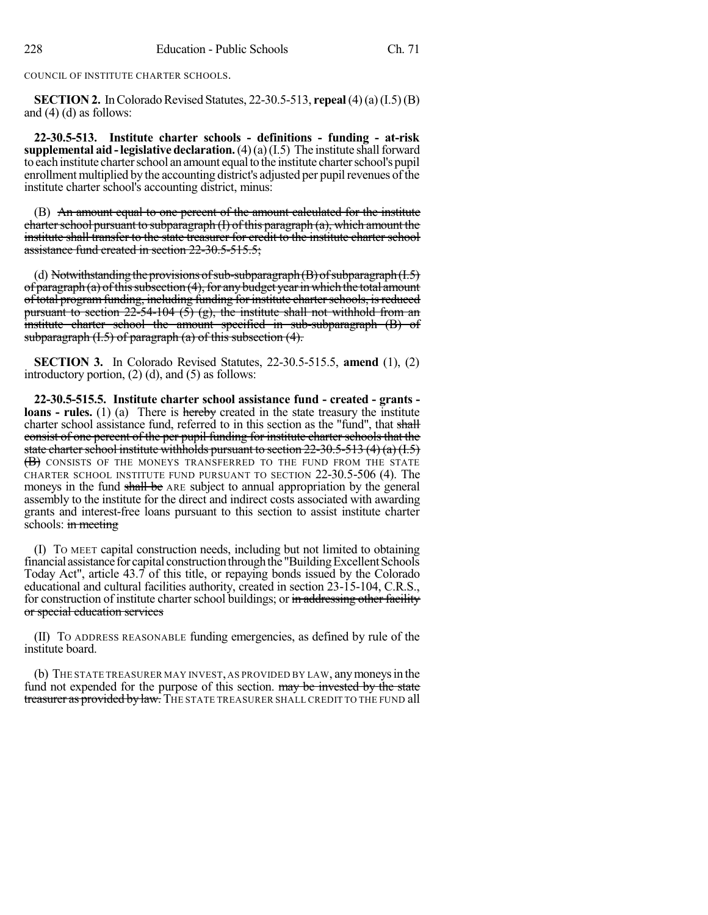COUNCIL OF INSTITUTE CHARTER SCHOOLS.

**SECTION 2.** In Colorado Revised Statutes, 22-30.5-513, **repeal** (4)(a)(I.5)(B) and (4) (d) as follows:

**22-30.5-513. Institute charter schools - definitions - funding - at-risk supplemental aid - legislative declaration.**  $(4)(a)(I.5)$  The institute shall forward to each institute charter school an amount equal to the institute charter school's pupil enrollment multiplied by the accounting district's adjusted per pupil revenues of the institute charter school's accounting district, minus:

(B) An amount equal to one percent of the amount calculated for the institute charter school pursuant to subparagraph  $(I)$  of this paragraph  $(a)$ , which amount the institute shall transfer to the state treasurer for credit to the institute charter school assistance fund created in section 22-30.5-515.5;

(d) Notwithstanding the provisions of sub-subparagraph  $(B)$  of subparagraph  $(L.5)$ of paragraph (a) of this subsection  $(4)$ , for any budget year in which the total amount of total program funding, including funding for institute charter schools, is reduced pursuant to section  $22-54-104$  (5) (g), the institute shall not withhold from an institute charter school the amount specified in sub-subparagraph (B) of subparagraph  $(1.5)$  of paragraph  $(a)$  of this subsection  $(4)$ .

**SECTION 3.** In Colorado Revised Statutes, 22-30.5-515.5, **amend** (1), (2) introductory portion, (2) (d), and (5) as follows:

**22-30.5-515.5. Institute charter school assistance fund - created - grants loans - rules.** (1) (a) There is **hereby** created in the state treasury the institute charter school assistance fund, referred to in this section as the "fund", that shall consist of one percent of the per pupil funding for institute charter schools that the state charter school institute withholds pursuant to section  $22-30.5-513$  (4) (a)  $(1.5)$ (B) CONSISTS OF THE MONEYS TRANSFERRED TO THE FUND FROM THE STATE CHARTER SCHOOL INSTITUTE FUND PURSUANT TO SECTION 22-30.5-506 (4). The moneys in the fund shall be ARE subject to annual appropriation by the general assembly to the institute for the direct and indirect costs associated with awarding grants and interest-free loans pursuant to this section to assist institute charter schools: in meeting

(I) TO MEET capital construction needs, including but not limited to obtaining financial assistance for capital construction through the "Building Excellent Schools" Today Act", article 43.7 of this title, or repaying bonds issued by the Colorado educational and cultural facilities authority, created in section 23-15-104, C.R.S., for construction of institute charter school buildings; or in addressing other facility or special education services

(II) TO ADDRESS REASONABLE funding emergencies, as defined by rule of the institute board.

(b) THE STATE TREASURER MAY INVEST, AS PROVIDED BY LAW, anymoneysin the fund not expended for the purpose of this section. may be invested by the state treasurer as provided by law. THE STATE TREASURER SHALL CREDIT TO THE FUND all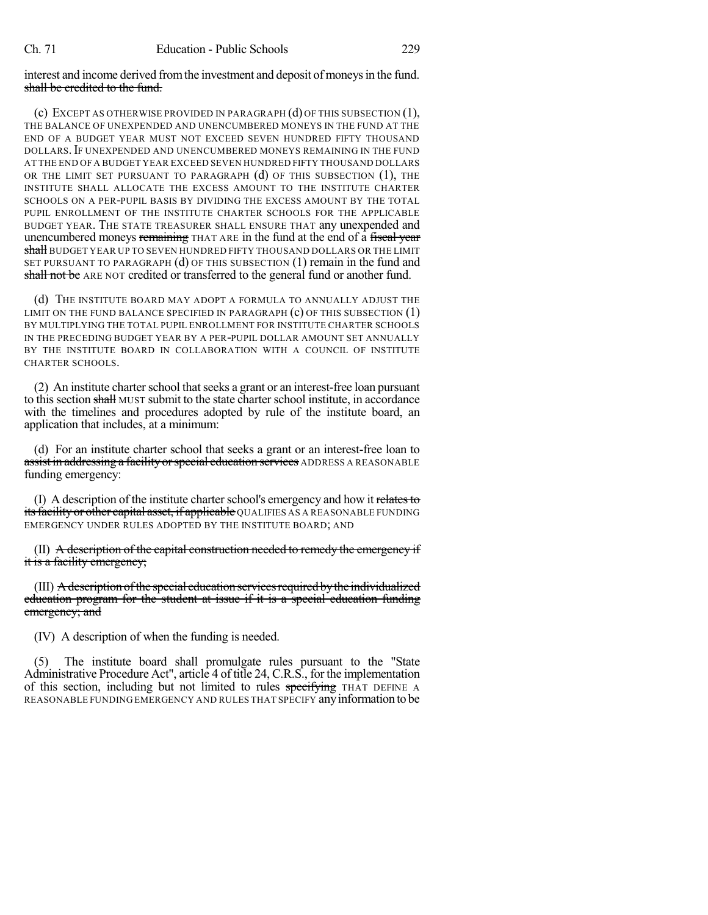interest and income derived from the investment and deposit of moneys in the fund. shall be credited to the fund.

(c) EXCEPT AS OTHERWISE PROVIDED IN PARAGRAPH (d) OF THIS SUBSECTION (1), THE BALANCE OF UNEXPENDED AND UNENCUMBERED MONEYS IN THE FUND AT THE END OF A BUDGET YEAR MUST NOT EXCEED SEVEN HUNDRED FIFTY THOUSAND DOLLARS.IF UNEXPENDED AND UNENCUMBERED MONEYS REMAINING IN THE FUND AT THE END OF A BUDGET YEAR EXCEED SEVEN HUNDRED FIFTY THOUSAND DOLLARS OR THE LIMIT SET PURSUANT TO PARAGRAPH (d) OF THIS SUBSECTION (1), THE INSTITUTE SHALL ALLOCATE THE EXCESS AMOUNT TO THE INSTITUTE CHARTER SCHOOLS ON A PER-PUPIL BASIS BY DIVIDING THE EXCESS AMOUNT BY THE TOTAL PUPIL ENROLLMENT OF THE INSTITUTE CHARTER SCHOOLS FOR THE APPLICABLE BUDGET YEAR. THE STATE TREASURER SHALL ENSURE THAT any unexpended and unencumbered moneys remaining THAT ARE in the fund at the end of a fiscal year shall BUDGET YEAR UP TO SEVEN HUNDRED FIFTY THOUSAND DOLLARS OR THE LIMIT SET PURSUANT TO PARAGRAPH (d) OF THIS SUBSECTION (1) remain in the fund and shall not be ARE NOT credited or transferred to the general fund or another fund.

(d) THE INSTITUTE BOARD MAY ADOPT A FORMULA TO ANNUALLY ADJUST THE LIMIT ON THE FUND BALANCE SPECIFIED IN PARAGRAPH  $(c)$  OF THIS SUBSECTION  $(1)$ BY MULTIPLYING THE TOTAL PUPIL ENROLLMENT FOR INSTITUTE CHARTER SCHOOLS IN THE PRECEDING BUDGET YEAR BY A PER-PUPIL DOLLAR AMOUNT SET ANNUALLY BY THE INSTITUTE BOARD IN COLLABORATION WITH A COUNCIL OF INSTITUTE CHARTER SCHOOLS.

(2) An institute charterschool thatseeks a grant or an interest-free loan pursuant to this section shall MUST submit to the state charter school institute, in accordance with the timelines and procedures adopted by rule of the institute board, an application that includes, at a minimum:

(d) For an institute charter school that seeks a grant or an interest-free loan to assist in addressing a facility or special education services ADDRESS A REASONABLE funding emergency:

(I) A description of the institute charter school's emergency and how it relates to its facility or other capital asset, if applicable QUALIFIES AS A REASONABLE FUNDING EMERGENCY UNDER RULES ADOPTED BY THE INSTITUTE BOARD; AND

 $(II)$  A description of the capital construction needed to remedy the emergency if it is a facility emergency;

(III) Adescriptionofthe special educationservicesrequiredbythe individualized education program for the student at issue if it is a special education funding emergency; and

(IV) A description of when the funding is needed.

(5) The institute board shall promulgate rules pursuant to the "State Administrative Procedure Act", article 4 of title 24, C.R.S., for the implementation of this section, including but not limited to rules specifying THAT DEFINE A REASONABLE FUNDING EMERGENCY AND RULES THAT SPECIFY anyinformation to be